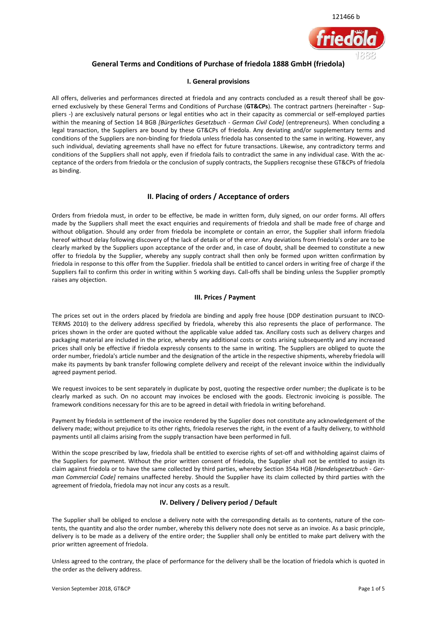

# **General Terms and Conditions of Purchase of friedola 1888 GmbH (friedola)**

#### **I. General provisions**

All offers, deliveries and performances directed at friedola and any contracts concluded as a result thereof shall be governed exclusively by these General Terms and Conditions of Purchase (**GT&CPs**). The contract partners (hereinafter - Suppliers -) are exclusively natural persons or legal entities who act in their capacity as commercial or self-employed parties within the meaning of Section 14 BGB *[Bürgerliches Gesetzbuch - German Civil Code]* (entrepreneurs). When concluding a legal transaction, the Suppliers are bound by these GT&CPs of friedola. Any deviating and/or supplementary terms and conditions of the Suppliers are non-binding for friedola unless friedola has consented to the same in writing. However, any such individual, deviating agreements shall have no effect for future transactions. Likewise, any contradictory terms and conditions of the Suppliers shall not apply, even if friedola fails to contradict the same in any individual case. With the acceptance of the orders from friedola or the conclusion of supply contracts, the Suppliers recognise these GT&CPs of friedola as binding.

# **II. Placing of orders / Acceptance of orders**

Orders from friedola must, in order to be effective, be made in written form, duly signed, on our order forms. All offers made by the Suppliers shall meet the exact enquiries and requirements of friedola and shall be made free of charge and without obligation. Should any order from friedola be incomplete or contain an error, the Supplier shall inform friedola hereof without delay following discovery of the lack of details or of the error. Any deviations from friedola's order are to be clearly marked by the Suppliers upon acceptance of the order and, in case of doubt, shall be deemed to constitute a new offer to friedola by the Supplier, whereby any supply contract shall then only be formed upon written confirmation by friedola in response to this offer from the Supplier. friedola shall be entitled to cancel orders in writing free of charge if the Suppliers fail to confirm this order in writing within 5 working days. Call-offs shall be binding unless the Supplier promptly raises any objection.

# **III. Prices / Payment**

The prices set out in the orders placed by friedola are binding and apply free house (DDP destination pursuant to INCO-TERMS 2010) to the delivery address specified by friedola, whereby this also represents the place of performance. The prices shown in the order are quoted without the applicable value added tax. Ancillary costs such as delivery charges and packaging material are included in the price, whereby any additional costs or costs arising subsequently and any increased prices shall only be effective if friedola expressly consents to the same in writing. The Suppliers are obliged to quote the order number, friedola's article number and the designation of the article in the respective shipments, whereby friedola will make its payments by bank transfer following complete delivery and receipt of the relevant invoice within the individually agreed payment period.

We request invoices to be sent separately in duplicate by post, quoting the respective order number; the duplicate is to be clearly marked as such. On no account may invoices be enclosed with the goods. Electronic invoicing is possible. The framework conditions necessary for this are to be agreed in detail with friedola in writing beforehand.

Payment by friedola in settlement of the invoice rendered by the Supplier does not constitute any acknowledgement of the delivery made; without prejudice to its other rights, friedola reserves the right, in the event of a faulty delivery, to withhold payments until all claims arising from the supply transaction have been performed in full.

Within the scope prescribed by law, friedola shall be entitled to exercise rights of set-off and withholding against claims of the Suppliers for payment. Without the prior written consent of friedola, the Supplier shall not be entitled to assign its claim against friedola or to have the same collected by third parties, whereby Section 354a HGB *[Handelsgesetzbuch - German Commercial Code]* remains unaffected hereby. Should the Supplier have its claim collected by third parties with the agreement of friedola, friedola may not incur any costs as a result.

# **IV. Delivery / Delivery period / Default**

The Supplier shall be obliged to enclose a delivery note with the corresponding details as to contents, nature of the contents, the quantity and also the order number, whereby this delivery note does not serve as an invoice. As a basic principle, delivery is to be made as a delivery of the entire order; the Supplier shall only be entitled to make part delivery with the prior written agreement of friedola.

Unless agreed to the contrary, the place of performance for the delivery shall be the location of friedola which is quoted in the order as the delivery address.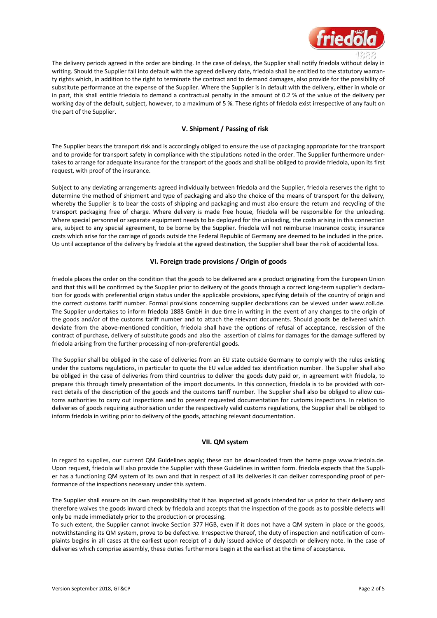

The delivery periods agreed in the order are binding. In the case of delays, the Supplier shall notify friedola without delay in writing. Should the Supplier fall into default with the agreed delivery date, friedola shall be entitled to the statutory warranty rights which, in addition to the right to terminate the contract and to demand damages, also provide for the possibility of substitute performance at the expense of the Supplier. Where the Supplier is in default with the delivery, either in whole or in part, this shall entitle friedola to demand a contractual penalty in the amount of 0.2 % of the value of the delivery per working day of the default, subject, however, to a maximum of 5 %. These rights of friedola exist irrespective of any fault on the part of the Supplier.

### **V. Shipment / Passing of risk**

The Supplier bears the transport risk and is accordingly obliged to ensure the use of packaging appropriate for the transport and to provide for transport safety in compliance with the stipulations noted in the order. The Supplier furthermore undertakes to arrange for adequate insurance for the transport of the goods and shall be obliged to provide friedola, upon its first request, with proof of the insurance.

Subject to any deviating arrangements agreed individually between friedola and the Supplier, friedola reserves the right to determine the method of shipment and type of packaging and also the choice of the means of transport for the delivery, whereby the Supplier is to bear the costs of shipping and packaging and must also ensure the return and recycling of the transport packaging free of charge. Where delivery is made free house, friedola will be responsible for the unloading. Where special personnel or separate equipment needs to be deployed for the unloading, the costs arising in this connection are, subject to any special agreement, to be borne by the Supplier. friedola will not reimburse Insurance costs; insurance costs which arise for the carriage of goods outside the Federal Republic of Germany are deemed to be included in the price. Up until acceptance of the delivery by friedola at the agreed destination, the Supplier shall bear the risk of accidental loss.

### **VI. Foreign trade provisions / Origin of goods**

friedola places the order on the condition that the goods to be delivered are a product originating from the European Union and that this will be confirmed by the Supplier prior to delivery of the goods through a correct long-term supplier's declaration for goods with preferential origin status under the applicable provisions, specifying details of the country of origin and the correct customs tariff number. Formal provisions concerning supplier declarations can be viewed under [www.zoll.de.](http://www.zoll.de/) The Supplier undertakes to inform friedola 1888 GmbH in due time in writing in the event of any changes to the origin of the goods and/or of the customs tariff number and to attach the relevant documents. Should goods be delivered which deviate from the above-mentioned condition, friedola shall have the options of refusal of acceptance, rescission of the contract of purchase, delivery of substitute goods and also the assertion of claims for damages for the damage suffered by friedola arising from the further processing of non-preferential goods.

The Supplier shall be obliged in the case of deliveries from an EU state outside Germany to comply with the rules existing under the customs regulations, in particular to quote the EU value added tax identification number. The Supplier shall also be obliged in the case of deliveries from third countries to deliver the goods duty paid or, in agreement with friedola, to prepare this through timely presentation of the import documents. In this connection, friedola is to be provided with correct details of the description of the goods and the customs tariff number. The Supplier shall also be obliged to allow customs authorities to carry out inspections and to present requested documentation for customs inspections. In relation to deliveries of goods requiring authorisation under the respectively valid customs regulations, the Supplier shall be obliged to inform friedola in writing prior to delivery of the goods, attaching relevant documentation.

#### **VII. QM system**

In regard to supplies, our current QM Guidelines apply; these can be downloaded from the home page [www.friedola.de.](http://www.friedola.de/) Upon request, friedola will also provide the Supplier with these Guidelines in written form. friedola expects that the Supplier has a functioning QM system of its own and that in respect of all its deliveries it can deliver corresponding proof of performance of the inspections necessary under this system.

The Supplier shall ensure on its own responsibility that it has inspected all goods intended for us prior to their delivery and therefore waives the goods inward check by friedola and accepts that the inspection of the goods as to possible defects will only be made immediately prior to the production or processing.

To such extent, the Supplier cannot invoke Section 377 HGB, even if it does not have a QM system in place or the goods, notwithstanding its QM system, prove to be defective. Irrespective thereof, the duty of inspection and notification of complaints begins in all cases at the earliest upon receipt of a duly issued advice of despatch or delivery note. In the case of deliveries which comprise assembly, these duties furthermore begin at the earliest at the time of acceptance.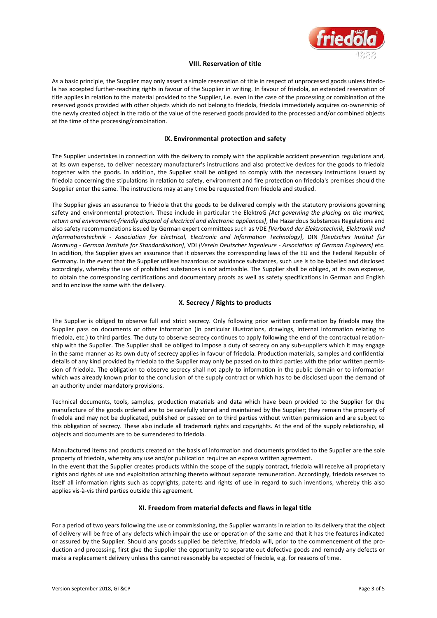

#### **VIII. Reservation of title**

As a basic principle, the Supplier may only assert a simple reservation of title in respect of unprocessed goods unless friedola has accepted further-reaching rights in favour of the Supplier in writing. In favour of friedola, an extended reservation of title applies in relation to the material provided to the Supplier, i.e. even in the case of the processing or combination of the reserved goods provided with other objects which do not belong to friedola, friedola immediately acquires co-ownership of the newly created object in the ratio of the value of the reserved goods provided to the processed and/or combined objects at the time of the processing/combination.

#### **IX. Environmental protection and safety**

The Supplier undertakes in connection with the delivery to comply with the applicable accident prevention regulations and, at its own expense, to deliver necessary manufacturer's instructions and also protective devices for the goods to friedola together with the goods. In addition, the Supplier shall be obliged to comply with the necessary instructions issued by friedola concerning the stipulations in relation to safety, environment and fire protection on friedola's premises should the Supplier enter the same. The instructions may at any time be requested from friedola and studied.

The Supplier gives an assurance to friedola that the goods to be delivered comply with the statutory provisions governing safety and environmental protection. These include in particular the ElektroG *[Act governing the placing on the market, return and environment-friendly disposal of electrical and electronic appliances]*, the Hazardous Substances Regulations and also safety recommendations issued by German expert committees such as VDE *[Verband der Elektrotechnik, Elektronik und Informationstechnik - Association for Electrical, Electronic and Information Technology]*, DIN *[Deutsches Institut für Normung - German Institute for Standardisation]*, VDI *[Verein Deutscher Ingenieure - Association of German Engineers]* etc. In addition, the Supplier gives an assurance that it observes the corresponding laws of the EU and the Federal Republic of Germany. In the event that the Supplier utilises hazardous or avoidance substances, such use is to be labelled and disclosed accordingly, whereby the use of prohibited substances is not admissible. The Supplier shall be obliged, at its own expense, to obtain the corresponding certifications and documentary proofs as well as safety specifications in German and English and to enclose the same with the delivery.

# **X. Secrecy / Rights to products**

The Supplier is obliged to observe full and strict secrecy. Only following prior written confirmation by friedola may the Supplier pass on documents or other information (in particular illustrations, drawings, internal information relating to friedola, etc.) to third parties. The duty to observe secrecy continues to apply following the end of the contractual relationship with the Supplier. The Supplier shall be obliged to impose a duty of secrecy on any sub-suppliers which it may engage in the same manner as its own duty of secrecy applies in favour of friedola. Production materials, samples and confidential details of any kind provided by friedola to the Supplier may only be passed on to third parties with the prior written permission of friedola. The obligation to observe secrecy shall not apply to information in the public domain or to information which was already known prior to the conclusion of the supply contract or which has to be disclosed upon the demand of an authority under mandatory provisions.

Technical documents, tools, samples, production materials and data which have been provided to the Supplier for the manufacture of the goods ordered are to be carefully stored and maintained by the Supplier; they remain the property of friedola and may not be duplicated, published or passed on to third parties without written permission and are subject to this obligation of secrecy. These also include all trademark rights and copyrights. At the end of the supply relationship, all objects and documents are to be surrendered to friedola.

Manufactured items and products created on the basis of information and documents provided to the Supplier are the sole property of friedola, whereby any use and/or publication requires an express written agreement.

In the event that the Supplier creates products within the scope of the supply contract, friedola will receive all proprietary rights and rights of use and exploitation attaching thereto without separate remuneration. Accordingly, friedola reserves to itself all information rights such as copyrights, patents and rights of use in regard to such inventions, whereby this also applies vis-à-vis third parties outside this agreement.

#### **XI. Freedom from material defects and flaws in legal title**

For a period of two years following the use or commissioning, the Supplier warrants in relation to its delivery that the object of delivery will be free of any defects which impair the use or operation of the same and that it has the features indicated or assured by the Supplier. Should any goods supplied be defective, friedola will, prior to the commencement of the production and processing, first give the Supplier the opportunity to separate out defective goods and remedy any defects or make a replacement delivery unless this cannot reasonably be expected of friedola, e.g. for reasons of time.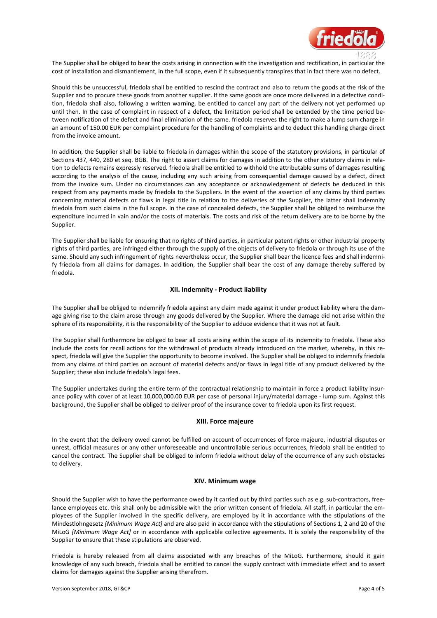

The Supplier shall be obliged to bear the costs arising in connection with the investigation and rectification, in particular the cost of installation and dismantlement, in the full scope, even if it subsequently transpires that in fact there was no defect.

Should this be unsuccessful, friedola shall be entitled to rescind the contract and also to return the goods at the risk of the Supplier and to procure these goods from another supplier. If the same goods are once more delivered in a defective condition, friedola shall also, following a written warning, be entitled to cancel any part of the delivery not yet performed up until then. In the case of complaint in respect of a defect, the limitation period shall be extended by the time period between notification of the defect and final elimination of the same. friedola reserves the right to make a lump sum charge in an amount of 150.00 EUR per complaint procedure for the handling of complaints and to deduct this handling charge direct from the invoice amount.

In addition, the Supplier shall be liable to friedola in damages within the scope of the statutory provisions, in particular of Sections 437, 440, 280 et seq. BGB. The right to assert claims for damages in addition to the other statutory claims in relation to defects remains expressly reserved. friedola shall be entitled to withhold the attributable sums of damages resulting according to the analysis of the cause, including any such arising from consequential damage caused by a defect, direct from the invoice sum. Under no circumstances can any acceptance or acknowledgement of defects be deduced in this respect from any payments made by friedola to the Suppliers. In the event of the assertion of any claims by third parties concerning material defects or flaws in legal title in relation to the deliveries of the Supplier, the latter shall indemnify friedola from such claims in the full scope. In the case of concealed defects, the Supplier shall be obliged to reimburse the expenditure incurred in vain and/or the costs of materials. The costs and risk of the return delivery are to be borne by the Supplier.

The Supplier shall be liable for ensuring that no rights of third parties, in particular patent rights or other industrial property rights of third parties, are infringed either through the supply of the objects of delivery to friedola or through its use of the same. Should any such infringement of rights nevertheless occur, the Supplier shall bear the licence fees and shall indemnify friedola from all claims for damages. In addition, the Supplier shall bear the cost of any damage thereby suffered by friedola.

#### **XII. Indemnity - Product liability**

The Supplier shall be obliged to indemnify friedola against any claim made against it under product liability where the damage giving rise to the claim arose through any goods delivered by the Supplier. Where the damage did not arise within the sphere of its responsibility, it is the responsibility of the Supplier to adduce evidence that it was not at fault.

The Supplier shall furthermore be obliged to bear all costs arising within the scope of its indemnity to friedola. These also include the costs for recall actions for the withdrawal of products already introduced on the market, whereby, in this respect, friedola will give the Supplier the opportunity to become involved. The Supplier shall be obliged to indemnify friedola from any claims of third parties on account of material defects and/or flaws in legal title of any product delivered by the Supplier; these also include friedola's legal fees.

The Supplier undertakes during the entire term of the contractual relationship to maintain in force a product liability insurance policy with cover of at least 10,000,000.00 EUR per case of personal injury/material damage - lump sum. Against this background, the Supplier shall be obliged to deliver proof of the insurance cover to friedola upon its first request.

#### **XIII. Force majeure**

In the event that the delivery owed cannot be fulfilled on account of occurrences of force majeure, industrial disputes or unrest, official measures or any other unforeseeable and uncontrollable serious occurrences, friedola shall be entitled to cancel the contract. The Supplier shall be obliged to inform friedola without delay of the occurrence of any such obstacles to delivery.

#### **XIV. Minimum wage**

Should the Supplier wish to have the performance owed by it carried out by third parties such as e.g. sub-contractors, freelance employees etc. this shall only be admissible with the prior written consent of friedola. All staff, in particular the employees of the Supplier involved in the specific delivery, are employed by it in accordance with the stipulations of the Mindestlohngesetz *[Minimum Wage Act]* and are also paid in accordance with the stipulations of Sections 1, 2 and 20 of the MiLoG *[Minimum Wage Act]* or in accordance with applicable collective agreements. It is solely the responsibility of the Supplier to ensure that these stipulations are observed.

Friedola is hereby released from all claims associated with any breaches of the MiLoG. Furthermore, should it gain knowledge of any such breach, friedola shall be entitled to cancel the supply contract with immediate effect and to assert claims for damages against the Supplier arising therefrom.